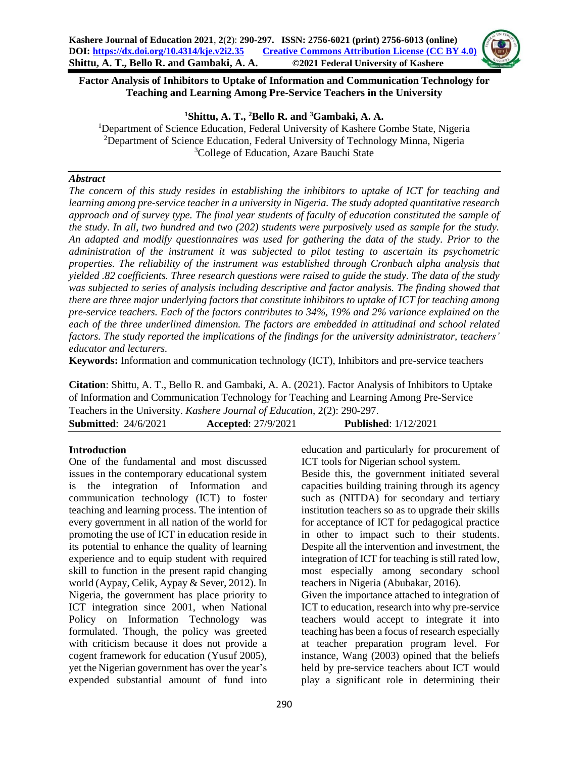

**<sup>1</sup>Shittu, A. T., <sup>2</sup>Bello R. and <sup>3</sup>Gambaki, A. A.**

<sup>1</sup>Department of Science Education, Federal University of Kashere Gombe State, Nigeria <sup>2</sup>Department of Science Education, Federal University of Technology Minna, Nigeria <sup>3</sup>College of Education, Azare Bauchi State

### *Abstract*

*The concern of this study resides in establishing the inhibitors to uptake of ICT for teaching and learning among pre-service teacher in a university in Nigeria. The study adopted quantitative research approach and of survey type. The final year students of faculty of education constituted the sample of the study. In all, two hundred and two (202) students were purposively used as sample for the study. An adapted and modify questionnaires was used for gathering the data of the study. Prior to the administration of the instrument it was subjected to pilot testing to ascertain its psychometric properties. The reliability of the instrument was established through Cronbach alpha analysis that yielded .82 coefficients. Three research questions were raised to guide the study. The data of the study was subjected to series of analysis including descriptive and factor analysis. The finding showed that there are three major underlying factors that constitute inhibitors to uptake of ICT for teaching among pre-service teachers. Each of the factors contributes to 34%, 19% and 2% variance explained on the each of the three underlined dimension. The factors are embedded in attitudinal and school related factors. The study reported the implications of the findings for the university administrator, teachers' educator and lecturers.*

**Keywords:** Information and communication technology (ICT), Inhibitors and pre-service teachers

**Citation**: Shittu, A. T., Bello R. and Gambaki, A. A. (2021). Factor Analysis of Inhibitors to Uptake of Information and Communication Technology for Teaching and Learning Among Pre-Service Teachers in the University. *Kashere Journal of Education*, 2(2): 290-297.

**Submitted**: 24/6/2021 **Accepted**: 27/9/2021 **Published**: 1/12/2021

### **Introduction**

One of the fundamental and most discussed issues in the contemporary educational system is the integration of Information and communication technology (ICT) to foster teaching and learning process. The intention of every government in all nation of the world for promoting the use of ICT in education reside in its potential to enhance the quality of learning experience and to equip student with required skill to function in the present rapid changing world (Aypay, Celik, Aypay & Sever, 2012). In Nigeria, the government has place priority to ICT integration since 2001, when National Policy on Information Technology was formulated. Though, the policy was greeted with criticism because it does not provide a cogent framework for education (Yusuf 2005), yet the Nigerian government has over the year's expended substantial amount of fund into education and particularly for procurement of ICT tools for Nigerian school system.

Beside this, the government initiated several capacities building training through its agency such as (NITDA) for secondary and tertiary institution teachers so as to upgrade their skills for acceptance of ICT for pedagogical practice in other to impact such to their students. Despite all the intervention and investment, the integration of ICT for teaching is still rated low, most especially among secondary school teachers in Nigeria (Abubakar, 2016).

Given the importance attached to integration of ICT to education, research into why pre-service teachers would accept to integrate it into teaching has been a focus of research especially at teacher preparation program level. For instance, Wang (2003) opined that the beliefs held by pre-service teachers about ICT would play a significant role in determining their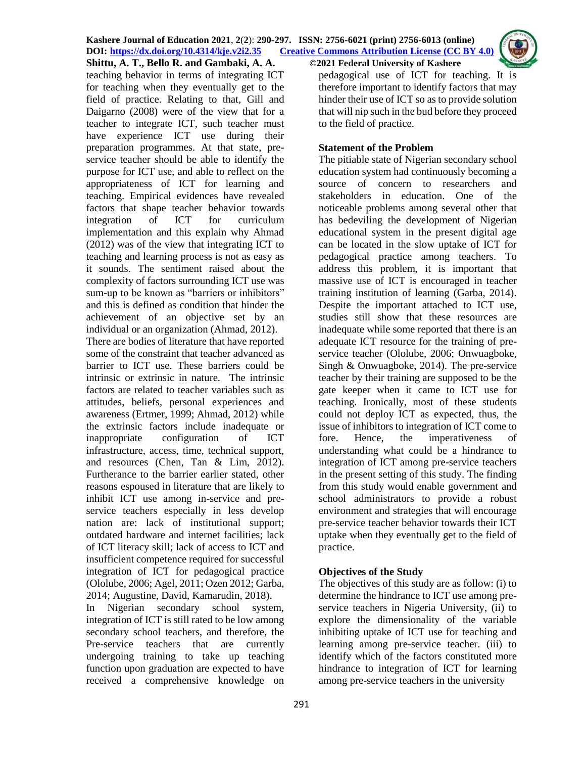

**Shittu, A. T., Bello R. and Gambaki, A. A. ©2021 Federal University of Kashere**

teaching behavior in terms of integrating ICT for teaching when they eventually get to the field of practice. Relating to that, Gill and Daigarno (2008) were of the view that for a teacher to integrate ICT, such teacher must have experience ICT use during their preparation programmes. At that state, preservice teacher should be able to identify the purpose for ICT use, and able to reflect on the appropriateness of ICT for learning and teaching. Empirical evidences have revealed factors that shape teacher behavior towards integration of ICT for curriculum implementation and this explain why Ahmad (2012) was of the view that integrating ICT to teaching and learning process is not as easy as it sounds. The sentiment raised about the complexity of factors surrounding ICT use was sum-up to be known as "barriers or inhibitors" and this is defined as condition that hinder the achievement of an objective set by an individual or an organization (Ahmad, 2012). There are bodies of literature that have reported some of the constraint that teacher advanced as barrier to ICT use. These barriers could be intrinsic or extrinsic in nature. The intrinsic factors are related to teacher variables such as attitudes, beliefs, personal experiences and awareness (Ertmer, 1999; Ahmad, 2012) while the extrinsic factors include inadequate or inappropriate configuration of ICT infrastructure, access, time, technical support, and resources (Chen, Tan & Lim, 2012). Furtherance to the barrier earlier stated, other reasons espoused in literature that are likely to inhibit ICT use among in-service and preservice teachers especially in less develop nation are: lack of institutional support; outdated hardware and internet facilities; lack of ICT literacy skill; lack of access to ICT and insufficient competence required for successful

integration of ICT for pedagogical practice (Ololube, 2006; Agel, 2011; Ozen 2012; Garba, 2014; Augustine, David, Kamarudin, 2018).

In Nigerian secondary school system, integration of ICT is still rated to be low among secondary school teachers, and therefore, the Pre-service teachers that are currently undergoing training to take up teaching function upon graduation are expected to have received a comprehensive knowledge on

pedagogical use of ICT for teaching. It is therefore important to identify factors that may hinder their use of ICT so as to provide solution that will nip such in the bud before they proceed to the field of practice.

### **Statement of the Problem**

The pitiable state of Nigerian secondary school education system had continuously becoming a source of concern to researchers and stakeholders in education. One of the noticeable problems among several other that has bedeviling the development of Nigerian educational system in the present digital age can be located in the slow uptake of ICT for pedagogical practice among teachers. To address this problem, it is important that massive use of ICT is encouraged in teacher training institution of learning (Garba, 2014). Despite the important attached to ICT use, studies still show that these resources are inadequate while some reported that there is an adequate ICT resource for the training of preservice teacher (Ololube, 2006; Onwuagboke, Singh & Onwuagboke, 2014). The pre-service teacher by their training are supposed to be the gate keeper when it came to ICT use for teaching. Ironically, most of these students could not deploy ICT as expected, thus, the issue of inhibitors to integration of ICT come to fore. Hence, the imperativeness of understanding what could be a hindrance to integration of ICT among pre-service teachers in the present setting of this study. The finding from this study would enable government and school administrators to provide a robust environment and strategies that will encourage pre-service teacher behavior towards their ICT uptake when they eventually get to the field of practice.

# **Objectives of the Study**

The objectives of this study are as follow: (i) to determine the hindrance to ICT use among preservice teachers in Nigeria University, (ii) to explore the dimensionality of the variable inhibiting uptake of ICT use for teaching and learning among pre-service teacher. (iii) to identify which of the factors constituted more hindrance to integration of ICT for learning among pre-service teachers in the university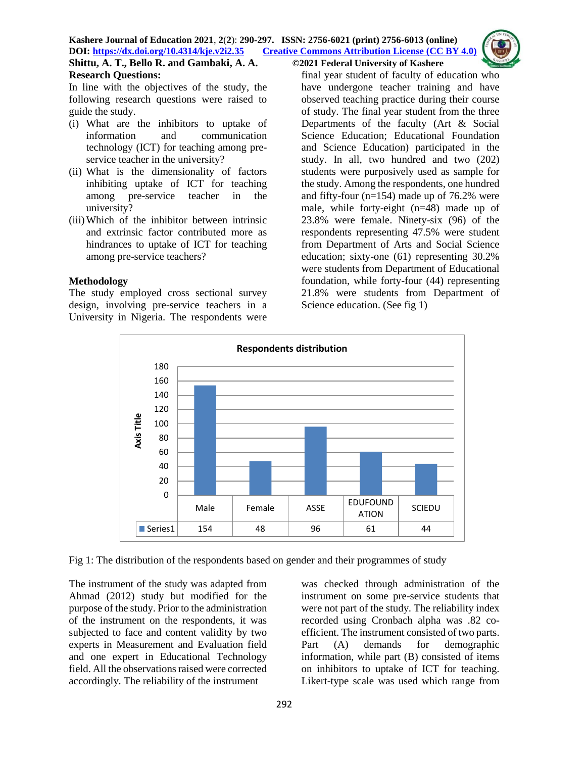

In line with the objectives of the study, the following research questions were raised to guide the study.

- (i) What are the inhibitors to uptake of information and communication technology (ICT) for teaching among preservice teacher in the university?
- (ii) What is the dimensionality of factors inhibiting uptake of ICT for teaching among pre-service teacher in the university?
- (iii)Which of the inhibitor between intrinsic and extrinsic factor contributed more as hindrances to uptake of ICT for teaching among pre-service teachers?

#### **Methodology**

The study employed cross sectional survey design, involving pre-service teachers in a University in Nigeria. The respondents were final year student of faculty of education who have undergone teacher training and have observed teaching practice during their course of study. The final year student from the three Departments of the faculty (Art & Social Science Education; Educational Foundation and Science Education) participated in the study. In all, two hundred and two (202) students were purposively used as sample for the study. Among the respondents, one hundred and fifty-four (n=154) made up of 76.2% were male, while forty-eight (n=48) made up of 23.8% were female. Ninety-six (96) of the respondents representing 47.5% were student from Department of Arts and Social Science education; sixty-one (61) representing 30.2% were students from Department of Educational foundation, while forty-four (44) representing 21.8% were students from Department of Science education. (See fig 1)



Fig 1: The distribution of the respondents based on gender and their programmes of study

The instrument of the study was adapted from Ahmad (2012) study but modified for the purpose of the study. Prior to the administration of the instrument on the respondents, it was subjected to face and content validity by two experts in Measurement and Evaluation field and one expert in Educational Technology field. All the observations raised were corrected accordingly. The reliability of the instrument

was checked through administration of the instrument on some pre-service students that were not part of the study. The reliability index recorded using Cronbach alpha was .82 coefficient. The instrument consisted of two parts. Part (A) demands for demographic information, while part (B) consisted of items on inhibitors to uptake of ICT for teaching. Likert-type scale was used which range from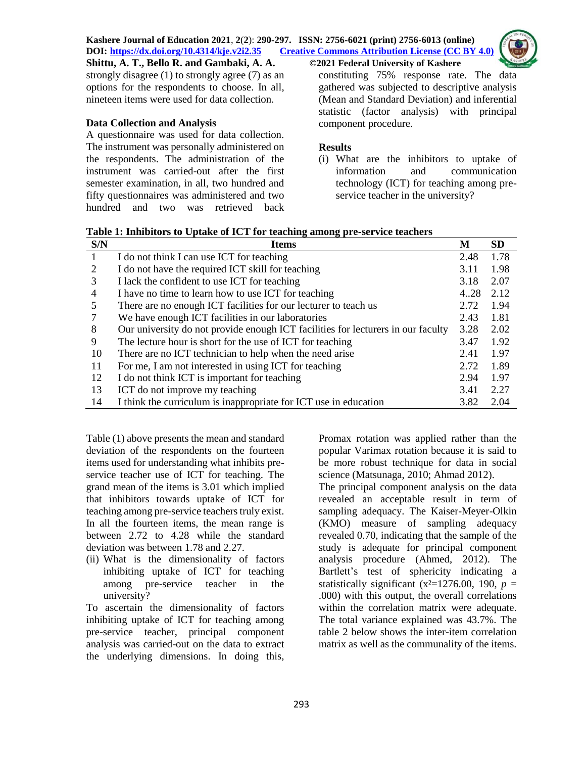strongly disagree (1) to strongly agree (7) as an options for the respondents to choose. In all, nineteen items were used for data collection.

# **Data Collection and Analysis**

A questionnaire was used for data collection. The instrument was personally administered on the respondents. The administration of the instrument was carried-out after the first semester examination, in all, two hundred and fifty questionnaires was administered and two hundred and two was retrieved back constituting 75% response rate. The data gathered was subjected to descriptive analysis (Mean and Standard Deviation) and inferential statistic (factor analysis) with principal component procedure.

# **Results**

(i) What are the inhibitors to uptake of information and communication technology (ICT) for teaching among preservice teacher in the university?

| S/N | . .<br><b>Items</b>                                                              | М    | <b>SD</b> |
|-----|----------------------------------------------------------------------------------|------|-----------|
| 1   | I do not think I can use ICT for teaching                                        | 2.48 | 1.78      |
| 2   | I do not have the required ICT skill for teaching                                | 3.11 | 1.98      |
| 3   | I lack the confident to use ICT for teaching                                     | 3.18 | 2.07      |
| 4   | I have no time to learn how to use ICT for teaching                              | 4.28 | 2.12      |
| 5   | There are no enough ICT facilities for our lecturer to teach us                  | 2.72 | 1.94      |
|     | We have enough ICT facilities in our laboratories                                | 2.43 | 1.81      |
| 8   | Our university do not provide enough ICT facilities for lecturers in our faculty | 3.28 | 2.02      |
| 9   | The lecture hour is short for the use of ICT for teaching                        | 3.47 | 1.92      |
| 10  | There are no ICT technician to help when the need arise                          | 2.41 | 1.97      |
| 11  | For me, I am not interested in using ICT for teaching                            | 2.72 | 1.89      |
| 12  | I do not think ICT is important for teaching                                     | 2.94 | 1.97      |
| 13  | ICT do not improve my teaching                                                   | 3.41 | 2.27      |
| 14  | I think the curriculum is inappropriate for ICT use in education                 | 3.82 | 2.04      |

**Table 1: Inhibitors to Uptake of ICT for teaching among pre-service teachers**

Table (1) above presents the mean and standard deviation of the respondents on the fourteen items used for understanding what inhibits preservice teacher use of ICT for teaching. The grand mean of the items is 3.01 which implied that inhibitors towards uptake of ICT for teaching among pre-service teachers truly exist. In all the fourteen items, the mean range is between 2.72 to 4.28 while the standard deviation was between 1.78 and 2.27.

(ii) What is the dimensionality of factors inhibiting uptake of ICT for teaching among pre-service teacher in the university?

To ascertain the dimensionality of factors inhibiting uptake of ICT for teaching among pre-service teacher, principal component analysis was carried-out on the data to extract the underlying dimensions. In doing this,

Promax rotation was applied rather than the popular Varimax rotation because it is said to be more robust technique for data in social science (Matsunaga, 2010; Ahmad 2012).

The principal component analysis on the data revealed an acceptable result in term of sampling adequacy. The Kaiser-Meyer-Olkin (KMO) measure of sampling adequacy revealed 0.70, indicating that the sample of the study is adequate for principal component analysis procedure (Ahmed, 2012). The Bartlett's test of sphericity indicating a statistically significant ( $x^2=1276.00$ , 190,  $p=$ .000) with this output, the overall correlations within the correlation matrix were adequate. The total variance explained was 43.7%. The table 2 below shows the inter-item correlation matrix as well as the communality of the items.

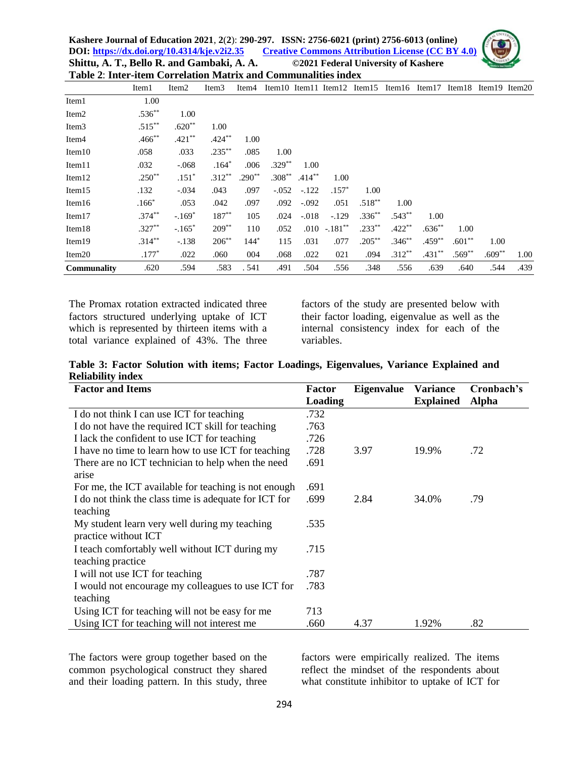| Table 2: Inter-item Correlation Matrix and Communalities index |           |                   |                   |                   |          |                    |                  |                                    |          |           |                             |          |      |
|----------------------------------------------------------------|-----------|-------------------|-------------------|-------------------|----------|--------------------|------------------|------------------------------------|----------|-----------|-----------------------------|----------|------|
|                                                                | Item1     | Item <sub>2</sub> | Item <sub>3</sub> | Item <sub>4</sub> |          |                    |                  | Item10 Item11 Item12 Item15 Item16 |          |           | Item17 Item18 Item19 Item20 |          |      |
| Item1                                                          | 1.00      |                   |                   |                   |          |                    |                  |                                    |          |           |                             |          |      |
| Item <sub>2</sub>                                              | $.536**$  | 1.00              |                   |                   |          |                    |                  |                                    |          |           |                             |          |      |
| Item <sub>3</sub>                                              | $.515***$ | $.620**$          | 1.00              |                   |          |                    |                  |                                    |          |           |                             |          |      |
| Item <sub>4</sub>                                              | $.466$ ** | $.421**$          | $.424***$         | 1.00              |          |                    |                  |                                    |          |           |                             |          |      |
| Item10                                                         | .058      | .033              | $.235***$         | .085              | 1.00     |                    |                  |                                    |          |           |                             |          |      |
| Item <sub>11</sub>                                             | .032      | $-.068$           | $.164*$           | .006              | $.329**$ | 1.00               |                  |                                    |          |           |                             |          |      |
| Item <sub>12</sub>                                             | $.250**$  | $.151*$           | $.312**$          | $.290**$          |          | $.308^{**}$ .414** | 1.00             |                                    |          |           |                             |          |      |
| Item15                                                         | .132      | $-.034$           | .043              | .097              | $-.052$  | $-.122$            | $.157*$          | 1.00                               |          |           |                             |          |      |
| Item16                                                         | $.166*$   | .053              | .042              | .097              | .092     | $-.092$            | .051             | $.518***$                          | 1.00     |           |                             |          |      |
| Item17                                                         | $.374***$ | $-.169*$          | $187**$           | 105               | .024     | $-.018$            | $-.129$          | $.336***$                          | $.543**$ | 1.00      |                             |          |      |
| Item <sub>18</sub>                                             | $.327**$  | $-.165*$          | $209***$          | 110               | .052     |                    | $.010 - .181$ ** | $.233***$                          | $.422**$ | $.636**$  | 1.00                        |          |      |
| Item19                                                         | $.314***$ | $-.138$           | $206^{**}$        | $144*$            | 115      | .031               | .077             | $.205***$                          | $.346**$ | $.459***$ | $.601**$                    | 1.00     |      |
| Item <sub>20</sub>                                             | $.177*$   | .022              | .060              | 004               | .068     | .022               | 021              | .094                               | $.312**$ | $.431**$  | $.569**$                    | $.609**$ | 1.00 |
| Communality                                                    | .620      | .594              | .583              | .541              | .491     | .504               | .556             | .348                               | .556     | .639      | .640                        | .544     | .439 |

The Promax rotation extracted indicated three factors structured underlying uptake of ICT which is represented by thirteen items with a total variance explained of 43%. The three

factors of the study are presented below with their factor loading, eigenvalue as well as the internal consistency index for each of the variables.

**Table 3: Factor Solution with items; Factor Loadings, Eigenvalues, Variance Explained and Reliability index**

| <b>Factor and Items</b>                               | Factor  | <b>Eigenvalue</b> | <b>Variance</b>  | Cronbach's   |
|-------------------------------------------------------|---------|-------------------|------------------|--------------|
|                                                       | Loading |                   | <b>Explained</b> | <b>Alpha</b> |
| I do not think I can use ICT for teaching             | .732    |                   |                  |              |
| I do not have the required ICT skill for teaching     | .763    |                   |                  |              |
| I lack the confident to use ICT for teaching          | .726    |                   |                  |              |
| I have no time to learn how to use ICT for teaching   | .728    | 3.97              | 19.9%            | .72          |
| There are no ICT technician to help when the need     | .691    |                   |                  |              |
| arise                                                 |         |                   |                  |              |
| For me, the ICT available for teaching is not enough  | .691    |                   |                  |              |
| I do not think the class time is adequate for ICT for | .699    | 2.84              | 34.0%            | .79          |
| teaching                                              |         |                   |                  |              |
| My student learn very well during my teaching         | .535    |                   |                  |              |
| practice without ICT                                  |         |                   |                  |              |
| I teach comfortably well without ICT during my        | .715    |                   |                  |              |
| teaching practice                                     |         |                   |                  |              |
| I will not use ICT for teaching                       | .787    |                   |                  |              |
| I would not encourage my colleagues to use ICT for    | .783    |                   |                  |              |
| teaching                                              |         |                   |                  |              |
| Using ICT for teaching will not be easy for me        | 713     |                   |                  |              |
| Using ICT for teaching will not interest me           | .660    | 4.37              | 1.92%            | .82          |

The factors were group together based on the common psychological construct they shared and their loading pattern. In this study, three

factors were empirically realized. The items reflect the mindset of the respondents about what constitute inhibitor to uptake of ICT for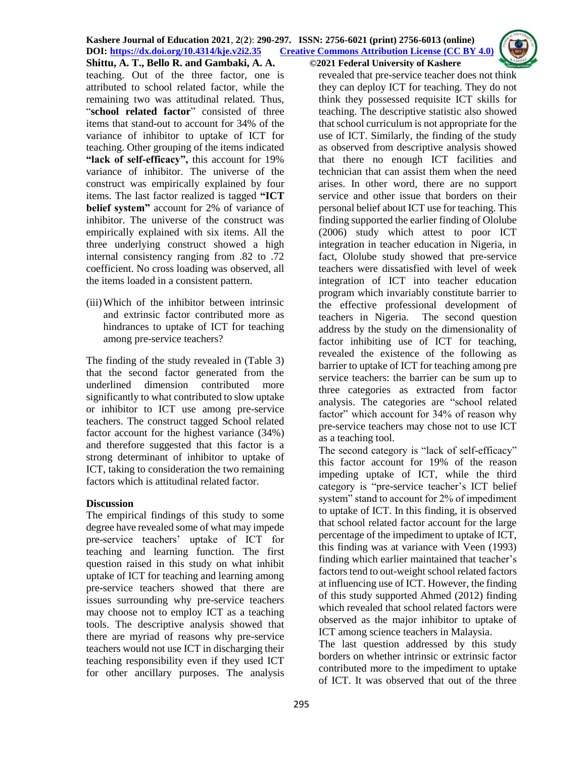

teaching. Out of the three factor, one is attributed to school related factor, while the remaining two was attitudinal related. Thus, "school related factor" consisted of three items that stand-out to account for 34% of the variance of inhibitor to uptake of ICT for teaching. Other grouping of the items indicated **"lack of self-efficacy",** this account for 19% variance of inhibitor. The universe of the construct was empirically explained by four items. The last factor realized is tagged **"ICT belief system"** account for 2% of variance of inhibitor. The universe of the construct was empirically explained with six items. All the three underlying construct showed a high internal consistency ranging from .82 to .72 coefficient. No cross loading was observed, all the items loaded in a consistent pattern.

(iii)Which of the inhibitor between intrinsic and extrinsic factor contributed more as hindrances to uptake of ICT for teaching among pre-service teachers?

The finding of the study revealed in (Table 3) that the second factor generated from the underlined dimension contributed more significantly to what contributed to slow uptake or inhibitor to ICT use among pre-service teachers. The construct tagged School related factor account for the highest variance (34%) and therefore suggested that this factor is a strong determinant of inhibitor to uptake of ICT, taking to consideration the two remaining factors which is attitudinal related factor.

# **Discussion**

The empirical findings of this study to some degree have revealed some of what may impede pre-service teachers' uptake of ICT for teaching and learning function. The first question raised in this study on what inhibit uptake of ICT for teaching and learning among pre-service teachers showed that there are issues surrounding why pre-service teachers may choose not to employ ICT as a teaching tools. The descriptive analysis showed that there are myriad of reasons why pre-service teachers would not use ICT in discharging their teaching responsibility even if they used ICT for other ancillary purposes. The analysis

revealed that pre-service teacher does not think they can deploy ICT for teaching. They do not think they possessed requisite ICT skills for teaching. The descriptive statistic also showed that school curriculum is not appropriate for the use of ICT. Similarly, the finding of the study as observed from descriptive analysis showed that there no enough ICT facilities and technician that can assist them when the need arises. In other word, there are no support service and other issue that borders on their personal belief about ICT use for teaching. This finding supported the earlier finding of Ololube (2006) study which attest to poor ICT integration in teacher education in Nigeria, in fact, Ololube study showed that pre-service teachers were dissatisfied with level of week integration of ICT into teacher education program which invariably constitute barrier to the effective professional development of teachers in Nigeria. The second question address by the study on the dimensionality of factor inhibiting use of ICT for teaching, revealed the existence of the following as barrier to uptake of ICT for teaching among pre service teachers: the barrier can be sum up to three categories as extracted from factor analysis. The categories are "school related factor" which account for 34% of reason why pre-service teachers may chose not to use ICT as a teaching tool.

The second category is "lack of self-efficacy" this factor account for 19% of the reason impeding uptake of ICT, while the third category is "pre-service teacher's ICT belief system" stand to account for 2% of impediment to uptake of ICT. In this finding, it is observed that school related factor account for the large percentage of the impediment to uptake of ICT, this finding was at variance with Veen (1993) finding which earlier maintained that teacher's factors tend to out-weight school related factors at influencing use of ICT. However, the finding of this study supported Ahmed (2012) finding which revealed that school related factors were observed as the major inhibitor to uptake of ICT among science teachers in Malaysia.

The last question addressed by this study borders on whether intrinsic or extrinsic factor contributed more to the impediment to uptake of ICT. It was observed that out of the three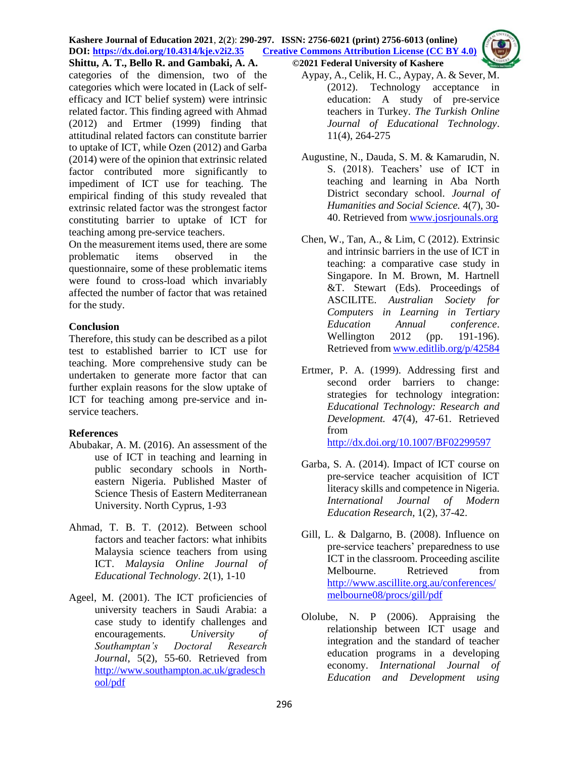#### **Kashere Journal of Education 2021**, **2**(**2**): **290-297. ISSN: 2756-6021 (print) 2756-6013 (online) DOI: <https://dx.doi.org/10.4314/kje.v2i2.35> [Creative Commons Attribution License](http://creativecommons.org/licenses/by/4.0/) (CC BY 4.0) Shittu, A. T., Bello R. and Gambaki, A. A. ©2021 Federal University of Kashere**



categories of the dimension, two of the categories which were located in (Lack of selfefficacy and ICT belief system) were intrinsic related factor. This finding agreed with Ahmad (2012) and Ertmer (1999) finding that attitudinal related factors can constitute barrier to uptake of ICT, while Ozen (2012) and Garba (2014) were of the opinion that extrinsic related factor contributed more significantly to impediment of ICT use for teaching. The empirical finding of this study revealed that extrinsic related factor was the strongest factor constituting barrier to uptake of ICT for teaching among pre-service teachers.

On the measurement items used, there are some problematic items observed in the questionnaire, some of these problematic items were found to cross-load which invariably affected the number of factor that was retained for the study.

## **Conclusion**

Therefore, this study can be described as a pilot test to established barrier to ICT use for teaching. More comprehensive study can be undertaken to generate more factor that can further explain reasons for the slow uptake of ICT for teaching among pre-service and inservice teachers.

# **References**

- Abubakar, A. M. (2016). An assessment of the use of ICT in teaching and learning in public secondary schools in Northeastern Nigeria. Published Master of Science Thesis of Eastern Mediterranean University. North Cyprus, 1-93
- Ahmad, T. B. T. (2012). Between school factors and teacher factors: what inhibits Malaysia science teachers from using ICT. *Malaysia Online Journal of Educational Technology*. 2(1), 1-10
- Ageel, M. (2001). The ICT proficiencies of university teachers in Saudi Arabia: a case study to identify challenges and encouragements. *University of Southamptan's Doctoral Research Journal*, 5(2), 55-60. Retrieved from [http://www.southampton.ac.uk/gradesch](http://www.southampton.ac.uk/gradeschool/pdf) [ool/pdf](http://www.southampton.ac.uk/gradeschool/pdf)
- Aypay, A., Celik, H. C., Aypay, A. & Sever, M. (2012). Technology acceptance in education: A study of pre-service teachers in Turkey. *The Turkish Online Journal of Educational Technology*. 11(4), 264-275
- Augustine, N., Dauda, S. M. & Kamarudin, N. S. (2018). Teachers' use of ICT in teaching and learning in Aba North District secondary school. *Journal of Humanities and Social Science.* 4(7), 30- 40. Retrieved from [www.josrjounals.org](http://www.josrjounals.org/)
- Chen, W., Tan, A., & Lim, C (2012). Extrinsic and intrinsic barriers in the use of ICT in teaching: a comparative case study in Singapore. In M. Brown, M. Hartnell &T. Stewart (Eds). Proceedings of ASCILITE. *Australian Society for Computers in Learning in Tertiary Education Annual conference*. Wellington 2012 (pp. 191-196). Retrieved from [www.editlib.org/p/42584](http://www.editlib.org/p/42584)
- Ertmer, P. A. (1999). Addressing first and second order barriers to change: strategies for technology integration: *Educational Technology: Research and Development.* 47(4), 47-61. Retrieved from <http://dx.doi.org/10.1007/BF02299597>
- Garba, S. A. (2014). Impact of ICT course on pre-service teacher acquisition of ICT literacy skills and competence in Nigeria. *International Journal of Modern Education Research*, 1(2), 37-42.
- Gill, L. & Dalgarno, B. (2008). Influence on pre-service teachers' preparedness to use ICT in the classroom. Proceeding ascilite Melbourne. Retrieved from [http://www.ascillite.org.au/conferences/](http://www.ascillite.org.au/conferences/melbourne08/procs/gill/pdf) [melbourne08/procs/gill/pdf](http://www.ascillite.org.au/conferences/melbourne08/procs/gill/pdf)
- Ololube, N. P (2006). Appraising the relationship between ICT usage and integration and the standard of teacher education programs in a developing economy. *International Journal of Education and Development using*